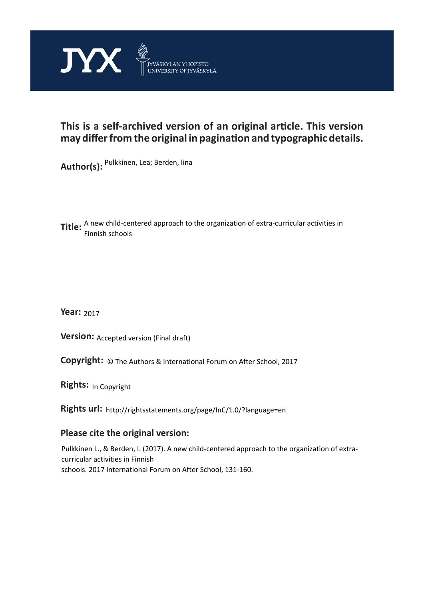

# **This is a self-archived version of an original article. This version may differ from the original in pagination and typographic details.**

**Author(s):**  Pulkkinen, Lea; Berden, Iina

**Title:** A new child-centered approach to the organization of extra-curricular activities in Finnish schools

**Year:**  2017

**Version: Accepted version (Final draft)** 

**Version:** Accepted version (Final draft)<br>**Copyright:** © The Authors & International Forum on After School, 2017

**Rights:** In Copyright

**Rights url:**  http://rightsstatements.org/page/InC/1.0/?language=en

## **Please cite the original version:**

Pulkkinen L., & Berden, I. (2017). A new child-centered approach to the organization of extracurricular activities in Finnish schools. 2017 International Forum on After School, 131-160.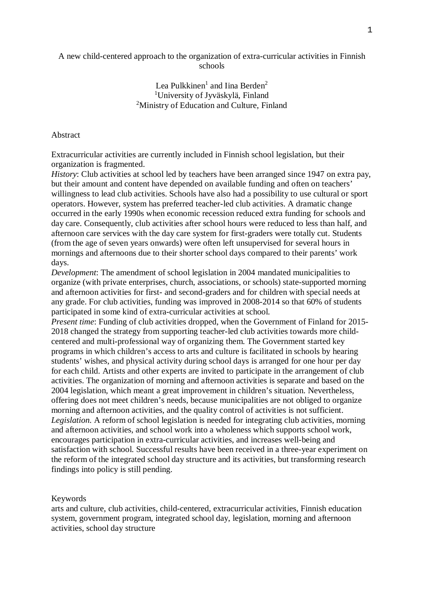A new child-centered approach to the organization of extra-curricular activities in Finnish schools

### Lea Pulkkinen<sup>1</sup> and Iina Berden<sup>2</sup> <sup>1</sup>University of Jyväskylä, Finland <sup>2</sup>Ministry of Education and Culture, Finland

### Abstract

Extracurricular activities are currently included in Finnish school legislation, but their organization is fragmented.

*History*: Club activities at school led by teachers have been arranged since 1947 on extra pay, but their amount and content have depended on available funding and often on teachers' willingness to lead club activities. Schools have also had a possibility to use cultural or sport operators. However, system has preferred teacher-led club activities. A dramatic change occurred in the early 1990s when economic recession reduced extra funding for schools and day care. Consequently, club activities after school hours were reduced to less than half, and afternoon care services with the day care system for first-graders were totally cut. Students (from the age of seven years onwards) were often left unsupervised for several hours in mornings and afternoons due to their shorter school days compared to their parents' work days.

*Development*: The amendment of school legislation in 2004 mandated municipalities to organize (with private enterprises, church, associations, or schools) state-supported morning and afternoon activities for first- and second-graders and for children with special needs at any grade. For club activities, funding was improved in 2008-2014 so that 60% of students participated in some kind of extra-curricular activities at school.

*Present time*: Funding of club activities dropped, when the Government of Finland for 2015- 2018 changed the strategy from supporting teacher-led club activities towards more childcentered and multi-professional way of organizing them. The Government started key programs in which children's access to arts and culture is facilitated in schools by hearing students' wishes, and physical activity during school days is arranged for one hour per day for each child. Artists and other experts are invited to participate in the arrangement of club activities. The organization of morning and afternoon activities is separate and based on the 2004 legislation, which meant a great improvement in children's situation. Nevertheless, offering does not meet children's needs, because municipalities are not obliged to organize morning and afternoon activities, and the quality control of activities is not sufficient. *Legislation.* A reform of school legislation is needed for integrating club activities, morning and afternoon activities, and school work into a wholeness which supports school work, encourages participation in extra-curricular activities, and increases well-being and satisfaction with school. Successful results have been received in a three-year experiment on the reform of the integrated school day structure and its activities, but transforming research findings into policy is still pending.

#### Keywords

arts and culture, club activities, child-centered, extracurricular activities, Finnish education system, government program, integrated school day, legislation, morning and afternoon activities, school day structure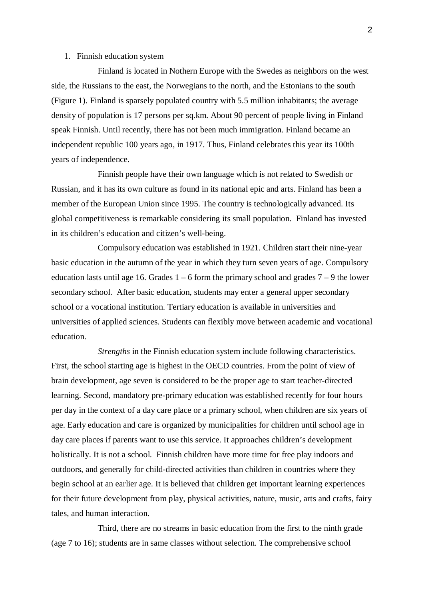#### 1. Finnish education system

Finland is located in Nothern Europe with the Swedes as neighbors on the west side, the Russians to the east, the Norwegians to the north, and the Estonians to the south (Figure 1). Finland is sparsely populated country with 5.5 million inhabitants; the average density of population is 17 persons per sq.km. About 90 percent of people living in Finland speak Finnish. Until recently, there has not been much immigration. Finland became an independent republic 100 years ago, in 1917. Thus, Finland celebrates this year its 100th years of independence.

Finnish people have their own language which is not related to Swedish or Russian, and it has its own culture as found in its national epic and arts. Finland has been a member of the European Union since 1995. The country is technologically advanced. Its global competitiveness is remarkable considering its small population. Finland has invested in its children's education and citizen's well-being.

Compulsory education was established in 1921. Children start their nine-year basic education in the autumn of the year in which they turn seven years of age. Compulsory education lasts until age 16. Grades  $1 - 6$  form the primary school and grades  $7 - 9$  the lower secondary school. After basic education, students may enter a general upper secondary school or a vocational institution. Tertiary education is available in universities and universities of applied sciences. Students can flexibly move between academic and vocational education.

*Strengths* in the Finnish education system include following characteristics. First, the school starting age is highest in the OECD countries. From the point of view of brain development, age seven is considered to be the proper age to start teacher-directed learning. Second, mandatory pre-primary education was established recently for four hours per day in the context of a day care place or a primary school, when children are six years of age. Early education and care is organized by municipalities for children until school age in day care places if parents want to use this service. It approaches children's development holistically. It is not a school. Finnish children have more time for free play indoors and outdoors, and generally for child-directed activities than children in countries where they begin school at an earlier age. It is believed that children get important learning experiences for their future development from play, physical activities, nature, music, arts and crafts, fairy tales, and human interaction.

Third, there are no streams in basic education from the first to the ninth grade (age 7 to 16); students are in same classes without selection. The comprehensive school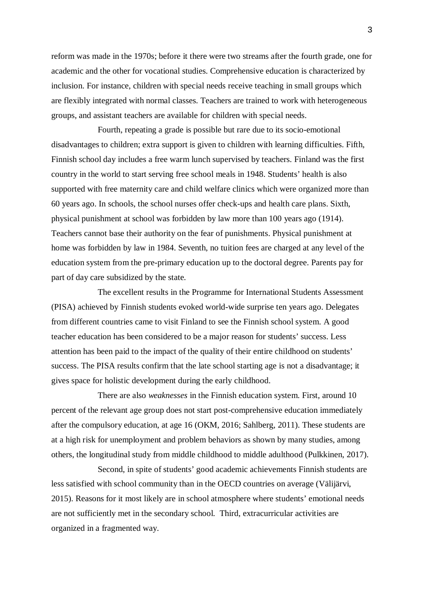reform was made in the 1970s; before it there were two streams after the fourth grade, one for academic and the other for vocational studies. Comprehensive education is characterized by inclusion. For instance, children with special needs receive teaching in small groups which are flexibly integrated with normal classes. Teachers are trained to work with heterogeneous groups, and assistant teachers are available for children with special needs.

Fourth, repeating a grade is possible but rare due to its socio-emotional disadvantages to children; extra support is given to children with learning difficulties. Fifth, Finnish school day includes a free warm lunch supervised by teachers. Finland was the first country in the world to start serving free school meals in 1948. Students' health is also supported with free maternity care and child welfare clinics which were organized more than 60 years ago. In schools, the school nurses offer check-ups and health care plans. Sixth, physical punishment at school was forbidden by law more than 100 years ago (1914). Teachers cannot base their authority on the fear of punishments. Physical punishment at home was forbidden by law in 1984. Seventh, no tuition fees are charged at any level of the education system from the pre-primary education up to the doctoral degree. Parents pay for part of day care subsidized by the state.

The excellent results in the Programme for International Students Assessment (PISA) achieved by Finnish students evoked world-wide surprise ten years ago. Delegates from different countries came to visit Finland to see the Finnish school system. A good teacher education has been considered to be a major reason for students' success. Less attention has been paid to the impact of the quality of their entire childhood on students' success. The PISA results confirm that the late school starting age is not a disadvantage; it gives space for holistic development during the early childhood.

There are also *weaknesses* in the Finnish education system. First, around 10 percent of the relevant age group does not start post-comprehensive education immediately after the compulsory education, at age 16 (OKM, 2016; Sahlberg, 2011). These students are at a high risk for unemployment and problem behaviors as shown by many studies, among others, the longitudinal study from middle childhood to middle adulthood (Pulkkinen, 2017).

Second, in spite of students' good academic achievements Finnish students are less satisfied with school community than in the OECD countries on average (Välijärvi, 2015). Reasons for it most likely are in school atmosphere where students' emotional needs are not sufficiently met in the secondary school. Third, extracurricular activities are organized in a fragmented way.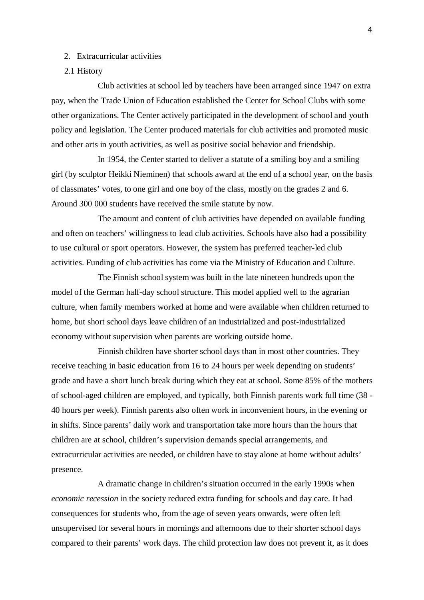### 2. Extracurricular activities

### 2.1 History

Club activities at school led by teachers have been arranged since 1947 on extra pay, when the Trade Union of Education established the Center for School Clubs with some other organizations. The Center actively participated in the development of school and youth policy and legislation. The Center produced materials for club activities and promoted music and other arts in youth activities, as well as positive social behavior and friendship.

In 1954, the Center started to deliver a statute of a smiling boy and a smiling girl (by sculptor Heikki Nieminen) that schools award at the end of a school year, on the basis of classmates' votes, to one girl and one boy of the class, mostly on the grades 2 and 6. Around 300 000 students have received the smile statute by now.

The amount and content of club activities have depended on available funding and often on teachers' willingness to lead club activities. Schools have also had a possibility to use cultural or sport operators. However, the system has preferred teacher-led club activities. Funding of club activities has come via the Ministry of Education and Culture.

The Finnish school system was built in the late nineteen hundreds upon the model of the German half-day school structure. This model applied well to the agrarian culture, when family members worked at home and were available when children returned to home, but short school days leave children of an industrialized and post-industrialized economy without supervision when parents are working outside home.

Finnish children have shorter school days than in most other countries. They receive teaching in basic education from 16 to 24 hours per week depending on students' grade and have a short lunch break during which they eat at school. Some 85% of the mothers of school-aged children are employed, and typically, both Finnish parents work full time (38 - 40 hours per week). Finnish parents also often work in inconvenient hours, in the evening or in shifts. Since parents' daily work and transportation take more hours than the hours that children are at school, children's supervision demands special arrangements, and extracurricular activities are needed, or children have to stay alone at home without adults' presence.

A dramatic change in children's situation occurred in the early 1990s when *economic recession* in the society reduced extra funding for schools and day care. It had consequences for students who, from the age of seven years onwards, were often left unsupervised for several hours in mornings and afternoons due to their shorter school days compared to their parents' work days. The child protection law does not prevent it, as it does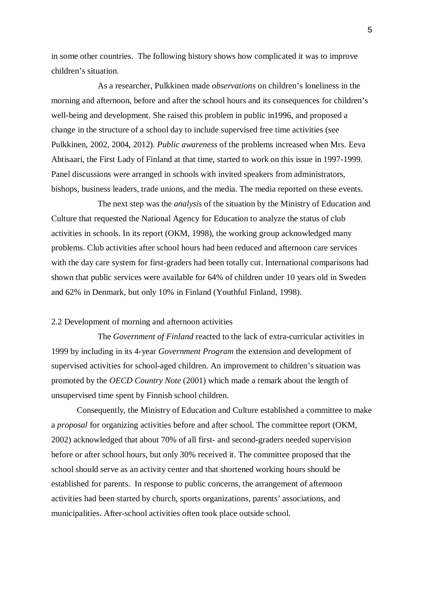in some other countries. The following history shows how complicated it was to improve children's situation.

As a researcher, Pulkkinen made *observations* on children's loneliness in the morning and afternoon, before and after the school hours and its consequences for children's well-being and development. She raised this problem in public in1996, and proposed a change in the structure of a school day to include supervised free time activities (see Pulkkinen, 2002, 2004, 2012). *Public awareness* of the problems increased when Mrs. Eeva Ahtisaari, the First Lady of Finland at that time, started to work on this issue in 1997-1999. Panel discussions were arranged in schools with invited speakers from administrators, bishops, business leaders, trade unions, and the media. The media reported on these events.

The next step was the *analysis* of the situation by the Ministry of Education and Culture that requested the National Agency for Education to analyze the status of club activities in schools. In its report (OKM, 1998), the working group acknowledged many problems. Club activities after school hours had been reduced and afternoon care services with the day care system for first-graders had been totally cut. International comparisons had shown that public services were available for 64% of children under 10 years old in Sweden and 62% in Denmark, but only 10% in Finland (Youthful Finland, 1998).

#### 2.2 Development of morning and afternoon activities

The *Government of Finland* reacted to the lack of extra-curricular activities in 1999 by including in its 4-year *Government Program* the extension and development of supervised activities for school-aged children. An improvement to children's situation was promoted by the *OECD Country Note* (2001) which made a remark about the length of unsupervised time spent by Finnish school children.

Consequently, the Ministry of Education and Culture established a committee to make a *proposal* for organizing activities before and after school. The committee report (OKM, 2002) acknowledged that about 70% of all first- and second-graders needed supervision before or after school hours, but only 30% received it. The committee proposed that the school should serve as an activity center and that shortened working hours should be established for parents. In response to public concerns, the arrangement of afternoon activities had been started by church, sports organizations, parents' associations, and municipalities. After-school activities often took place outside school.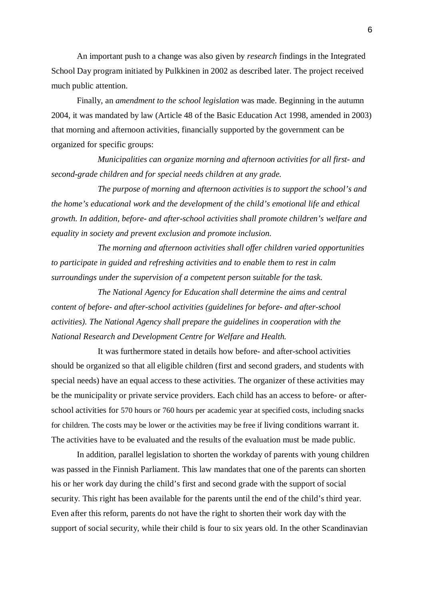An important push to a change was also given by *research* findings in the Integrated School Day program initiated by Pulkkinen in 2002 as described later. The project received much public attention.

Finally, an *amendment to the school legislation* was made. Beginning in the autumn 2004, it was mandated by law (Article 48 of the Basic Education Act 1998, amended in 2003) that morning and afternoon activities, financially supported by the government can be organized for specific groups:

*Municipalities can organize morning and afternoon activities for all first- and second-grade children and for special needs children at any grade.*

*The purpose of morning and afternoon activities is to support the school's and the home's educational work and the development of the child's emotional life and ethical growth. In addition, before- and after-school activities shall promote children's welfare and equality in society and prevent exclusion and promote inclusion.*

*The morning and afternoon activities shall offer children varied opportunities to participate in guided and refreshing activities and to enable them to rest in calm surroundings under the supervision of a competent person suitable for the task.*

*The National Agency for Education shall determine the aims and central content of before- and after-school activities (guidelines for before- and after-school activities). The National Agency shall prepare the guidelines in cooperation with the National Research and Development Centre for Welfare and Health.*

It was furthermore stated in details how before- and after-school activities should be organized so that all eligible children (first and second graders, and students with special needs) have an equal access to these activities. The organizer of these activities may be the municipality or private service providers. Each child has an access to before- or afterschool activities for 570 hours or 760 hours per academic year at specified costs, including snacks for children. The costs may be lower or the activities may be free if living conditions warrant it. The activities have to be evaluated and the results of the evaluation must be made public.

In addition, parallel legislation to shorten the workday of parents with young children was passed in the Finnish Parliament. This law mandates that one of the parents can shorten his or her work day during the child's first and second grade with the support of social security. This right has been available for the parents until the end of the child's third year. Even after this reform, parents do not have the right to shorten their work day with the support of social security, while their child is four to six years old. In the other Scandinavian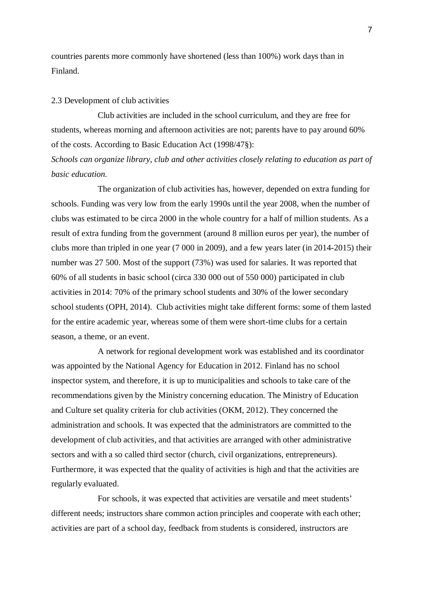countries parents more commonly have shortened (less than 100%) work days than in Finland.

#### 2.3 Development of club activities

Club activities are included in the school curriculum, and they are free for students, whereas morning and afternoon activities are not; parents have to pay around 60% of the costs. According to Basic Education Act (1998/47§):

# *Schools can organize library, club and other activities closely relating to education as part of basic education.*

The organization of club activities has, however, depended on extra funding for schools. Funding was very low from the early 1990s until the year 2008, when the number of clubs was estimated to be circa 2000 in the whole country for a half of million students. As a result of extra funding from the government (around 8 million euros per year), the number of clubs more than tripled in one year (7 000 in 2009), and a few years later (in 2014-2015) their number was 27 500. Most of the support (73%) was used for salaries. It was reported that 60% of all students in basic school (circa 330 000 out of 550 000) participated in club activities in 2014: 70% of the primary school students and 30% of the lower secondary school students (OPH, 2014). Club activities might take different forms: some of them lasted for the entire academic year, whereas some of them were short-time clubs for a certain season, a theme, or an event.

A network for regional development work was established and its coordinator was appointed by the National Agency for Education in 2012. Finland has no school inspector system, and therefore, it is up to municipalities and schools to take care of the recommendations given by the Ministry concerning education. The Ministry of Education and Culture set quality criteria for club activities (OKM, 2012). They concerned the administration and schools. It was expected that the administrators are committed to the development of club activities, and that activities are arranged with other administrative sectors and with a so called third sector (church, civil organizations, entrepreneurs). Furthermore, it was expected that the quality of activities is high and that the activities are regularly evaluated.

For schools, it was expected that activities are versatile and meet students' different needs; instructors share common action principles and cooperate with each other; activities are part of a school day, feedback from students is considered, instructors are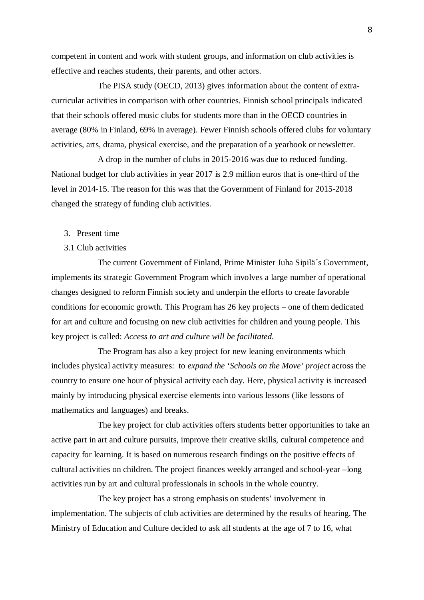competent in content and work with student groups, and information on club activities is effective and reaches students, their parents, and other actors.

The PISA study (OECD, 2013) gives information about the content of extracurricular activities in comparison with other countries. Finnish school principals indicated that their schools offered music clubs for students more than in the OECD countries in average (80% in Finland, 69% in average). Fewer Finnish schools offered clubs for voluntary activities, arts, drama, physical exercise, and the preparation of a yearbook or newsletter.

A drop in the number of clubs in 2015-2016 was due to reduced funding. National budget for club activities in year 2017 is 2.9 million euros that is one-third of the level in 2014-15. The reason for this was that the Government of Finland for 2015-2018 changed the strategy of funding club activities.

- 3. Present time
- 3.1 Club activities

The current Government of Finland, Prime Minister Juha Sipilä´s Government, implements its strategic Government Program which involves a large number of operational changes designed to reform Finnish society and underpin the efforts to create favorable conditions for economic growth. This Program has 26 key projects – one of them dedicated for art and culture and focusing on new club activities for children and young people. This key project is called: *Access to art and culture will be facilitated*.

The Program has also a key project for new leaning environments which includes physical activity measures: to *expand the 'Schools on the Move' project* across the country to ensure one hour of physical activity each day. Here, physical activity is increased mainly by introducing physical exercise elements into various lessons (like lessons of mathematics and languages) and breaks.

The key project for club activities offers students better opportunities to take an active part in art and culture pursuits, improve their creative skills, cultural competence and capacity for learning. It is based on numerous research findings on the positive effects of cultural activities on children. The project finances weekly arranged and school-year –long activities run by art and cultural professionals in schools in the whole country.

The key project has a strong emphasis on students' involvement in implementation. The subjects of club activities are determined by the results of hearing. The Ministry of Education and Culture decided to ask all students at the age of 7 to 16, what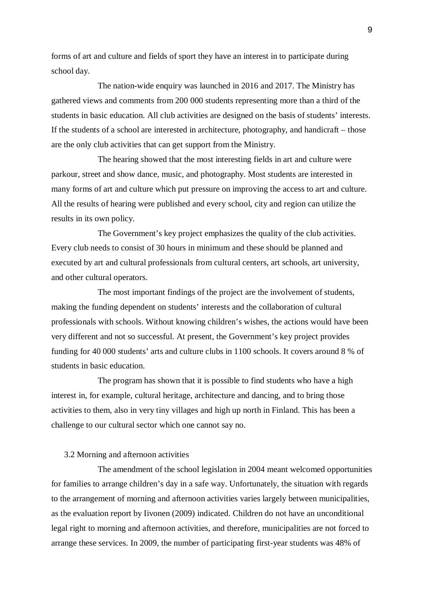forms of art and culture and fields of sport they have an interest in to participate during school day.

The nation-wide enquiry was launched in 2016 and 2017. The Ministry has gathered views and comments from 200 000 students representing more than a third of the students in basic education. All club activities are designed on the basis of students' interests. If the students of a school are interested in architecture, photography, and handicraft – those are the only club activities that can get support from the Ministry.

The hearing showed that the most interesting fields in art and culture were parkour, street and show dance, music, and photography. Most students are interested in many forms of art and culture which put pressure on improving the access to art and culture. All the results of hearing were published and every school, city and region can utilize the results in its own policy.

The Government's key project emphasizes the quality of the club activities. Every club needs to consist of 30 hours in minimum and these should be planned and executed by art and cultural professionals from cultural centers, art schools, art university, and other cultural operators.

The most important findings of the project are the involvement of students, making the funding dependent on students' interests and the collaboration of cultural professionals with schools. Without knowing children's wishes, the actions would have been very different and not so successful. At present, the Government's key project provides funding for 40 000 students' arts and culture clubs in 1100 schools. It covers around 8 % of students in basic education.

The program has shown that it is possible to find students who have a high interest in, for example, cultural heritage, architecture and dancing, and to bring those activities to them, also in very tiny villages and high up north in Finland. This has been a challenge to our cultural sector which one cannot say no.

#### 3.2 Morning and afternoon activities

The amendment of the school legislation in 2004 meant welcomed opportunities for families to arrange children's day in a safe way. Unfortunately, the situation with regards to the arrangement of morning and afternoon activities varies largely between municipalities, as the evaluation report by Iivonen (2009) indicated. Children do not have an unconditional legal right to morning and afternoon activities, and therefore, municipalities are not forced to arrange these services. In 2009, the number of participating first-year students was 48% of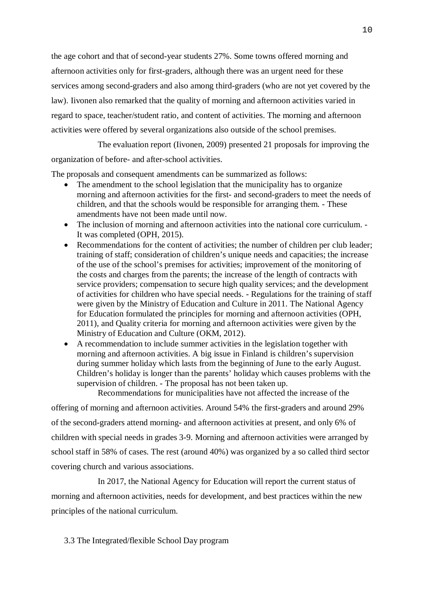the age cohort and that of second-year students 27%. Some towns offered morning and afternoon activities only for first-graders, although there was an urgent need for these services among second-graders and also among third-graders (who are not yet covered by the law). Iivonen also remarked that the quality of morning and afternoon activities varied in regard to space, teacher/student ratio, and content of activities. The morning and afternoon activities were offered by several organizations also outside of the school premises.

The evaluation report (Iivonen, 2009) presented 21 proposals for improving the organization of before- and after-school activities.

The proposals and consequent amendments can be summarized as follows:

- The amendment to the school legislation that the municipality has to organize morning and afternoon activities for the first- and second-graders to meet the needs of children, and that the schools would be responsible for arranging them. - These amendments have not been made until now.
- · The inclusion of morning and afternoon activities into the national core curriculum. It was completed (OPH, 2015).
- Recommendations for the content of activities; the number of children per club leader; training of staff; consideration of children's unique needs and capacities; the increase of the use of the school's premises for activities; improvement of the monitoring of the costs and charges from the parents; the increase of the length of contracts with service providers; compensation to secure high quality services; and the development of activities for children who have special needs. - Regulations for the training of staff were given by the Ministry of Education and Culture in 2011. The National Agency for Education formulated the principles for morning and afternoon activities (OPH, 2011), and Quality criteria for morning and afternoon activities were given by the Ministry of Education and Culture (OKM, 2012).
- · A recommendation to include summer activities in the legislation together with morning and afternoon activities. A big issue in Finland is children's supervision during summer holiday which lasts from the beginning of June to the early August. Children's holiday is longer than the parents' holiday which causes problems with the supervision of children. - The proposal has not been taken up.

Recommendations for municipalities have not affected the increase of the

offering of morning and afternoon activities. Around 54% the first-graders and around 29% of the second-graders attend morning- and afternoon activities at present, and only 6% of children with special needs in grades 3-9. Morning and afternoon activities were arranged by school staff in 58% of cases. The rest (around 40%) was organized by a so called third sector covering church and various associations.

In 2017, the National Agency for Education will report the current status of morning and afternoon activities, needs for development, and best practices within the new principles of the national curriculum.

3.3 The Integrated/flexible School Day program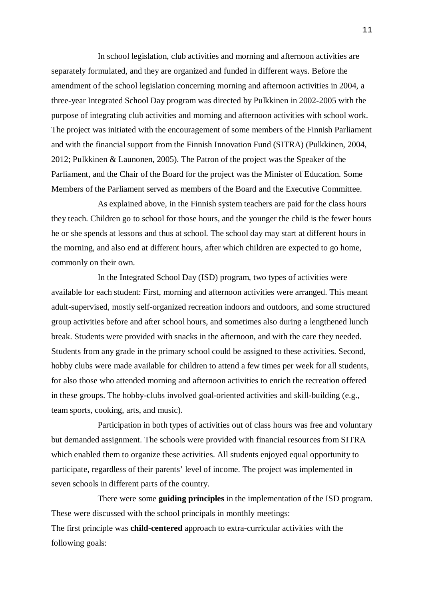In school legislation, club activities and morning and afternoon activities are separately formulated, and they are organized and funded in different ways. Before the amendment of the school legislation concerning morning and afternoon activities in 2004, a three-year Integrated School Day program was directed by Pulkkinen in 2002-2005 with the purpose of integrating club activities and morning and afternoon activities with school work. The project was initiated with the encouragement of some members of the Finnish Parliament and with the financial support from the Finnish Innovation Fund (SITRA) (Pulkkinen, 2004, 2012; Pulkkinen & Launonen, 2005). The Patron of the project was the Speaker of the Parliament, and the Chair of the Board for the project was the Minister of Education. Some Members of the Parliament served as members of the Board and the Executive Committee.

As explained above, in the Finnish system teachers are paid for the class hours they teach. Children go to school for those hours, and the younger the child is the fewer hours he or she spends at lessons and thus at school. The school day may start at different hours in the morning, and also end at different hours, after which children are expected to go home, commonly on their own.

In the Integrated School Day (ISD) program, two types of activities were available for each student: First, morning and afternoon activities were arranged. This meant adult-supervised, mostly self-organized recreation indoors and outdoors, and some structured group activities before and after school hours, and sometimes also during a lengthened lunch break. Students were provided with snacks in the afternoon, and with the care they needed. Students from any grade in the primary school could be assigned to these activities. Second, hobby clubs were made available for children to attend a few times per week for all students, for also those who attended morning and afternoon activities to enrich the recreation offered in these groups. The hobby-clubs involved goal-oriented activities and skill-building (e.g., team sports, cooking, arts, and music).

Participation in both types of activities out of class hours was free and voluntary but demanded assignment. The schools were provided with financial resources from SITRA which enabled them to organize these activities. All students enjoyed equal opportunity to participate, regardless of their parents' level of income. The project was implemented in seven schools in different parts of the country.

There were some **guiding principles** in the implementation of the ISD program. These were discussed with the school principals in monthly meetings: The first principle was **child-centered** approach to extra-curricular activities with the following goals: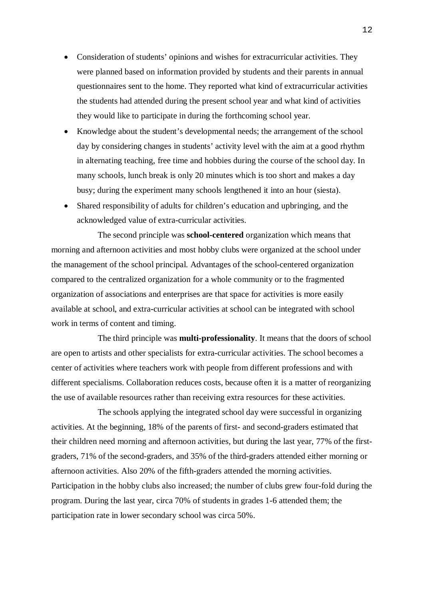- · Consideration of students' opinions and wishes for extracurricular activities. They were planned based on information provided by students and their parents in annual questionnaires sent to the home. They reported what kind of extracurricular activities the students had attended during the present school year and what kind of activities they would like to participate in during the forthcoming school year.
- · Knowledge about the student's developmental needs; the arrangement of the school day by considering changes in students' activity level with the aim at a good rhythm in alternating teaching, free time and hobbies during the course of the school day. In many schools, lunch break is only 20 minutes which is too short and makes a day busy; during the experiment many schools lengthened it into an hour (siesta).
- · Shared responsibility of adults for children's education and upbringing, and the acknowledged value of extra-curricular activities.

The second principle was **school-centered** organization which means that morning and afternoon activities and most hobby clubs were organized at the school under the management of the school principal. Advantages of the school-centered organization compared to the centralized organization for a whole community or to the fragmented organization of associations and enterprises are that space for activities is more easily available at school, and extra-curricular activities at school can be integrated with school work in terms of content and timing.

The third principle was **multi-professionality**. It means that the doors of school are open to artists and other specialists for extra-curricular activities. The school becomes a center of activities where teachers work with people from different professions and with different specialisms. Collaboration reduces costs, because often it is a matter of reorganizing the use of available resources rather than receiving extra resources for these activities.

The schools applying the integrated school day were successful in organizing activities. At the beginning, 18% of the parents of first- and second-graders estimated that their children need morning and afternoon activities, but during the last year, 77% of the firstgraders, 71% of the second-graders, and 35% of the third-graders attended either morning or afternoon activities. Also 20% of the fifth-graders attended the morning activities. Participation in the hobby clubs also increased; the number of clubs grew four-fold during the program. During the last year, circa 70% of students in grades 1-6 attended them; the participation rate in lower secondary school was circa 50%.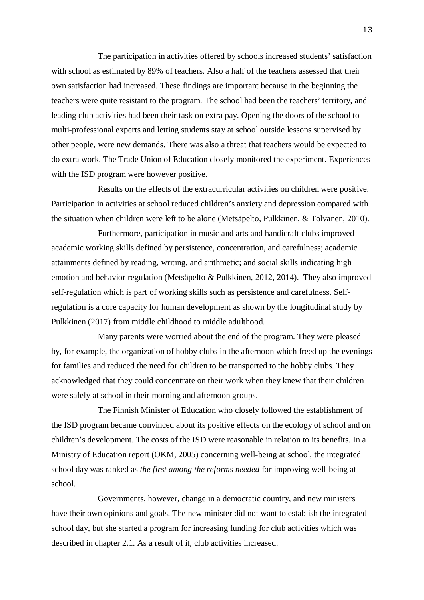The participation in activities offered by schools increased students' satisfaction with school as estimated by 89% of teachers. Also a half of the teachers assessed that their own satisfaction had increased. These findings are important because in the beginning the teachers were quite resistant to the program. The school had been the teachers' territory, and leading club activities had been their task on extra pay. Opening the doors of the school to multi-professional experts and letting students stay at school outside lessons supervised by other people, were new demands. There was also a threat that teachers would be expected to do extra work. The Trade Union of Education closely monitored the experiment. Experiences with the ISD program were however positive.

Results on the effects of the extracurricular activities on children were positive. Participation in activities at school reduced children's anxiety and depression compared with the situation when children were left to be alone (Metsäpelto, Pulkkinen, & Tolvanen, 2010).

Furthermore, participation in music and arts and handicraft clubs improved academic working skills defined by persistence, concentration, and carefulness; academic attainments defined by reading, writing, and arithmetic; and social skills indicating high emotion and behavior regulation (Metsäpelto & Pulkkinen, 2012, 2014). They also improved self-regulation which is part of working skills such as persistence and carefulness. Selfregulation is a core capacity for human development as shown by the longitudinal study by Pulkkinen (2017) from middle childhood to middle adulthood.

Many parents were worried about the end of the program. They were pleased by, for example, the organization of hobby clubs in the afternoon which freed up the evenings for families and reduced the need for children to be transported to the hobby clubs. They acknowledged that they could concentrate on their work when they knew that their children were safely at school in their morning and afternoon groups.

The Finnish Minister of Education who closely followed the establishment of the ISD program became convinced about its positive effects on the ecology of school and on children's development. The costs of the ISD were reasonable in relation to its benefits. In a Ministry of Education report (OKM, 2005) concerning well-being at school, the integrated school day was ranked as *the first among the reforms needed* for improving well-being at school.

Governments, however, change in a democratic country, and new ministers have their own opinions and goals. The new minister did not want to establish the integrated school day, but she started a program for increasing funding for club activities which was described in chapter 2.1. As a result of it, club activities increased.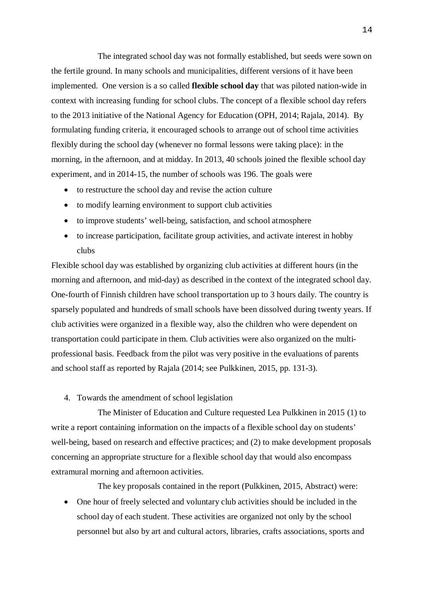The integrated school day was not formally established, but seeds were sown on the fertile ground. In many schools and municipalities, different versions of it have been implemented. One version is a so called **flexible school day** that was piloted nation-wide in context with increasing funding for school clubs. The concept of a flexible school day refers to the 2013 initiative of the National Agency for Education (OPH, 2014; Rajala, 2014). By formulating funding criteria, it encouraged schools to arrange out of school time activities flexibly during the school day (whenever no formal lessons were taking place): in the morning, in the afternoon, and at midday. In 2013, 40 schools joined the flexible school day experiment, and in 2014-15, the number of schools was 196. The goals were

- to restructure the school day and revise the action culture
- to modify learning environment to support club activities
- to improve students' well-being, satisfaction, and school atmosphere
- to increase participation, facilitate group activities, and activate interest in hobby clubs

Flexible school day was established by organizing club activities at different hours (in the morning and afternoon, and mid-day) as described in the context of the integrated school day. One-fourth of Finnish children have school transportation up to 3 hours daily. The country is sparsely populated and hundreds of small schools have been dissolved during twenty years. If club activities were organized in a flexible way, also the children who were dependent on transportation could participate in them. Club activities were also organized on the multiprofessional basis. Feedback from the pilot was very positive in the evaluations of parents and school staff as reported by Rajala (2014; see Pulkkinen, 2015, pp. 131-3).

4. Towards the amendment of school legislation

The Minister of Education and Culture requested Lea Pulkkinen in 2015 (1) to write a report containing information on the impacts of a flexible school day on students' well-being, based on research and effective practices; and (2) to make development proposals concerning an appropriate structure for a flexible school day that would also encompass extramural morning and afternoon activities.

The key proposals contained in the report (Pulkkinen, 2015, Abstract) were:

· One hour of freely selected and voluntary club activities should be included in the school day of each student. These activities are organized not only by the school personnel but also by art and cultural actors, libraries, crafts associations, sports and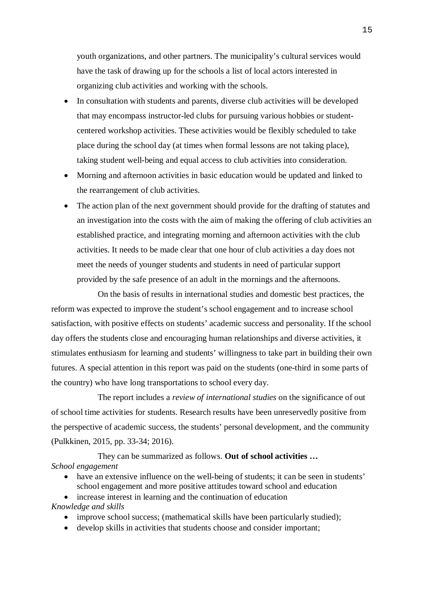youth organizations, and other partners. The municipality's cultural services would have the task of drawing up for the schools a list of local actors interested in organizing club activities and working with the schools.

- In consultation with students and parents, diverse club activities will be developed that may encompass instructor-led clubs for pursuing various hobbies or studentcentered workshop activities. These activities would be flexibly scheduled to take place during the school day (at times when formal lessons are not taking place), taking student well-being and equal access to club activities into consideration.
- · Morning and afternoon activities in basic education would be updated and linked to the rearrangement of club activities.
- The action plan of the next government should provide for the drafting of statutes and an investigation into the costs with the aim of making the offering of club activities an established practice, and integrating morning and afternoon activities with the club activities. It needs to be made clear that one hour of club activities a day does not meet the needs of younger students and students in need of particular support provided by the safe presence of an adult in the mornings and the afternoons.

On the basis of results in international studies and domestic best practices, the reform was expected to improve the student's school engagement and to increase school satisfaction, with positive effects on students' academic success and personality. If the school day offers the students close and encouraging human relationships and diverse activities, it stimulates enthusiasm for learning and students' willingness to take part in building their own futures. A special attention in this report was paid on the students (one-third in some parts of the country) who have long transportations to school every day.

The report includes a *review of international studies* on the significance of out of school time activities for students. Research results have been unreservedly positive from the perspective of academic success, the students' personal development, and the community (Pulkkinen, 2015, pp. 33-34; 2016).

They can be summarized as follows. **Out of school activities …** *School engagement*

- have an extensive influence on the well-being of students; it can be seen in students' school engagement and more positive attitudes toward school and education
- increase interest in learning and the continuation of education

*Knowledge and skills*

- improve school success; (mathematical skills have been particularly studied);
- develop skills in activities that students choose and consider important;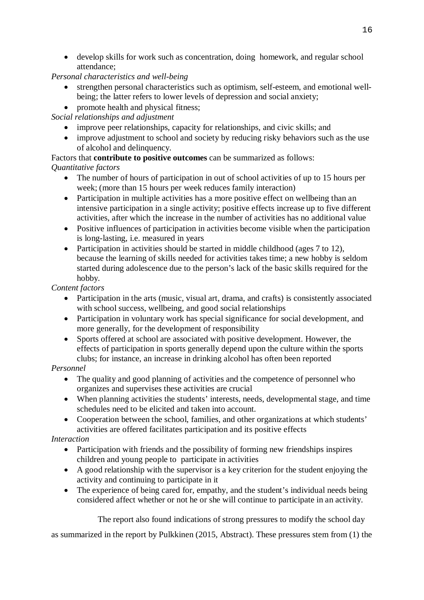· develop skills for work such as concentration, doing homework, and regular school attendance;

# *Personal characteristics and well-being*

- · strengthen personal characteristics such as optimism, self-esteem, and emotional wellbeing; the latter refers to lower levels of depression and social anxiety;
- promote health and physical fitness;

*Social relationships and adjustment*

- improve peer relationships, capacity for relationships, and civic skills; and
- improve adjustment to school and society by reducing risky behaviors such as the use of alcohol and delinquency.

Factors that **contribute to positive outcomes** can be summarized as follows: *Quantitative factors*

- The number of hours of participation in out of school activities of up to 15 hours per week; (more than 15 hours per week reduces family interaction)
- Participation in multiple activities has a more positive effect on wellbeing than an intensive participation in a single activity; positive effects increase up to five different activities, after which the increase in the number of activities has no additional value
- Positive influences of participation in activities become visible when the participation is long-lasting, i.e. measured in years
- Participation in activities should be started in middle childhood (ages 7 to 12), because the learning of skills needed for activities takes time; a new hobby is seldom started during adolescence due to the person's lack of the basic skills required for the hobby.

*Content factors*

- Participation in the arts (music, visual art, drama, and crafts) is consistently associated with school success, wellbeing, and good social relationships
- Participation in voluntary work has special significance for social development, and more generally, for the development of responsibility
- · Sports offered at school are associated with positive development. However, the effects of participation in sports generally depend upon the culture within the sports clubs; for instance, an increase in drinking alcohol has often been reported

## *Personnel*

- The quality and good planning of activities and the competence of personnel who organizes and supervises these activities are crucial
- · When planning activities the students' interests, needs, developmental stage, and time schedules need to be elicited and taken into account.
- Cooperation between the school, families, and other organizations at which students' activities are offered facilitates participation and its positive effects

# *Interaction*

- Participation with friends and the possibility of forming new friendships inspires children and young people to participate in activities
- · A good relationship with the supervisor is a key criterion for the student enjoying the activity and continuing to participate in it
- The experience of being cared for, empathy, and the student's individual needs being considered affect whether or not he or she will continue to participate in an activity.

The report also found indications of strong pressures to modify the school day

as summarized in the report by Pulkkinen (2015, Abstract). These pressures stem from (1) the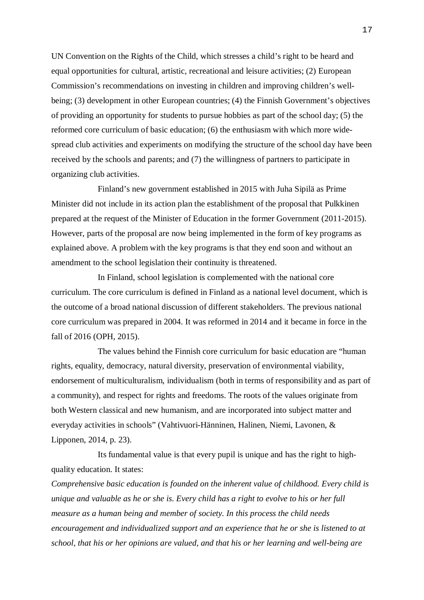UN Convention on the Rights of the Child, which stresses a child's right to be heard and equal opportunities for cultural, artistic, recreational and leisure activities; (2) European Commission's recommendations on investing in children and improving children's wellbeing; (3) development in other European countries; (4) the Finnish Government's objectives of providing an opportunity for students to pursue hobbies as part of the school day; (5) the reformed core curriculum of basic education; (6) the enthusiasm with which more widespread club activities and experiments on modifying the structure of the school day have been received by the schools and parents; and (7) the willingness of partners to participate in organizing club activities.

Finland's new government established in 2015 with Juha Sipilä as Prime Minister did not include in its action plan the establishment of the proposal that Pulkkinen prepared at the request of the Minister of Education in the former Government (2011-2015). However, parts of the proposal are now being implemented in the form of key programs as explained above. A problem with the key programs is that they end soon and without an amendment to the school legislation their continuity is threatened.

In Finland, school legislation is complemented with the national core curriculum. The core curriculum is defined in Finland as a national level document, which is the outcome of a broad national discussion of different stakeholders. The previous national core curriculum was prepared in 2004. It was reformed in 2014 and it became in force in the fall of 2016 (OPH, 2015).

The values behind the Finnish core curriculum for basic education are "human rights, equality, democracy, natural diversity, preservation of environmental viability, endorsement of multiculturalism, individualism (both in terms of responsibility and as part of a community), and respect for rights and freedoms. The roots of the values originate from both Western classical and new humanism, and are incorporated into subject matter and everyday activities in schools" (Vahtivuori-Hänninen, Halinen, Niemi, Lavonen, & Lipponen, 2014, p. 23).

Its fundamental value is that every pupil is unique and has the right to highquality education. It states:

*Comprehensive basic education is founded on the inherent value of childhood. Every child is unique and valuable as he or she is. Every child has a right to evolve to his or her full measure as a human being and member of society. In this process the child needs encouragement and individualized support and an experience that he or she is listened to at school, that his or her opinions are valued, and that his or her learning and well-being are*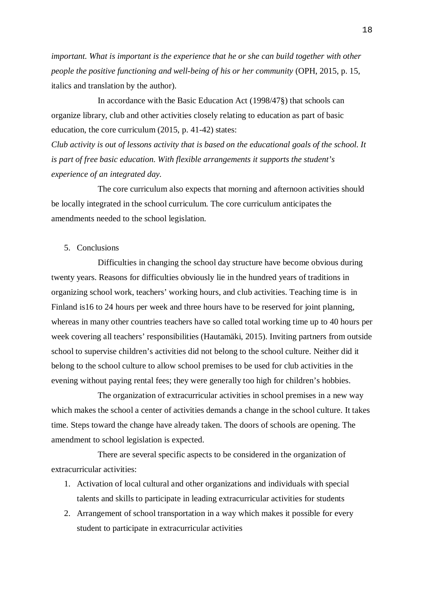*important. What is important is the experience that he or she can build together with other people the positive functioning and well-being of his or her community* (OPH, 2015, p. 15, italics and translation by the author).

In accordance with the Basic Education Act (1998/47§) that schools can organize library, club and other activities closely relating to education as part of basic education, the core curriculum (2015, p. 41-42) states:

*Club activity is out of lessons activity that is based on the educational goals of the school. It is part of free basic education. With flexible arrangements it supports the student's experience of an integrated day.*

The core curriculum also expects that morning and afternoon activities should be locally integrated in the school curriculum. The core curriculum anticipates the amendments needed to the school legislation.

### 5. Conclusions

Difficulties in changing the school day structure have become obvious during twenty years. Reasons for difficulties obviously lie in the hundred years of traditions in organizing school work, teachers' working hours, and club activities. Teaching time is in Finland is16 to 24 hours per week and three hours have to be reserved for joint planning, whereas in many other countries teachers have so called total working time up to 40 hours per week covering all teachers' responsibilities (Hautamäki, 2015). Inviting partners from outside school to supervise children's activities did not belong to the school culture. Neither did it belong to the school culture to allow school premises to be used for club activities in the evening without paying rental fees; they were generally too high for children's hobbies.

The organization of extracurricular activities in school premises in a new way which makes the school a center of activities demands a change in the school culture. It takes time. Steps toward the change have already taken. The doors of schools are opening. The amendment to school legislation is expected.

There are several specific aspects to be considered in the organization of extracurricular activities:

- 1. Activation of local cultural and other organizations and individuals with special talents and skills to participate in leading extracurricular activities for students
- 2. Arrangement of school transportation in a way which makes it possible for every student to participate in extracurricular activities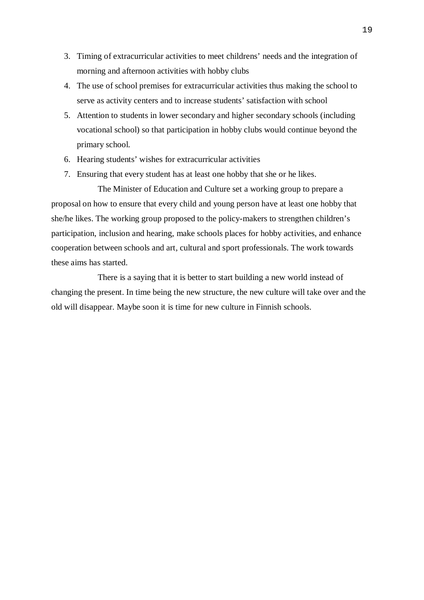- 3. Timing of extracurricular activities to meet childrens' needs and the integration of morning and afternoon activities with hobby clubs
- 4. The use of school premises for extracurricular activities thus making the school to serve as activity centers and to increase students' satisfaction with school
- 5. Attention to students in lower secondary and higher secondary schools (including vocational school) so that participation in hobby clubs would continue beyond the primary school.
- 6. Hearing students' wishes for extracurricular activities
- 7. Ensuring that every student has at least one hobby that she or he likes.

The Minister of Education and Culture set a working group to prepare a proposal on how to ensure that every child and young person have at least one hobby that she/he likes. The working group proposed to the policy-makers to strengthen children's participation, inclusion and hearing, make schools places for hobby activities, and enhance cooperation between schools and art, cultural and sport professionals. The work towards these aims has started.

There is a saying that it is better to start building a new world instead of changing the present. In time being the new structure, the new culture will take over and the old will disappear. Maybe soon it is time for new culture in Finnish schools.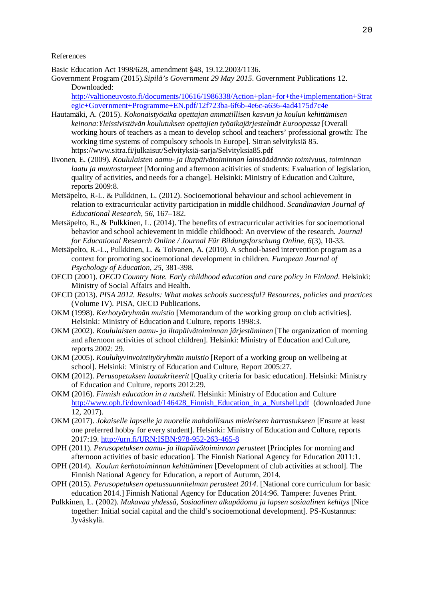#### References

Basic Education Act 1998/628, amendment §48, 19.12.2003/1136.

Government Program (2015)*.Sipilä's Government 29 May 2015*. Government Publications 12. Downloaded:

[http://valtioneuvosto.fi/documents/10616/1986338/Action+plan+for+the+implementation+Strat](http://valtioneuvosto.fi/documents/10616/1986338/Action+plan+for+the+implementation+Strategic+Government+Programme+EN.pdf/12f723ba-6f6b-4e6c-a636-4ad4175d7c4e) [egic+Government+Programme+EN.pdf/12f723ba-6f6b-4e6c-a636-4ad4175d7c4e](http://valtioneuvosto.fi/documents/10616/1986338/Action+plan+for+the+implementation+Strategic+Government+Programme+EN.pdf/12f723ba-6f6b-4e6c-a636-4ad4175d7c4e)

- Hautamäki, A. (2015). *Kokonaistyöaika opettajan ammatillisen kasvun ja koulun kehittämisen keinona:Yleissivistävän koulutuksen opettajien työaikajärjestelmät Euroopassa* [Overall working hours of teachers as a mean to develop school and teachers' professional growth: The working time systems of compulsory schools in Europe]. Sitran selvityksiä 85. https://www.sitra.fi/julkaisut/Selvityksiä-sarja/Selvityksia85.pdf
- Iivonen, E. (2009). *Koululaisten aamu- ja iltapäivätoiminnan lainsäädännön toimivuus, toiminnan laatu ja muutostarpeet* [Morning and afternoon acitivities of students: Evaluation of legislation, quality of activities, and needs for a change]. Helsinki: Ministry of Education and Culture, reports 2009:8.
- Metsäpelto, R-L. & Pulkkinen, L. (2012). Socioemotional behaviour and school achievement in relation to extracurricular activity participation in middle childhood. *Scandinavian Journal of Educational Research, 56,* 167–182.
- Metsäpelto, R., & Pulkkinen, L. (2014). The benefits of extracurricular activities for socioemotional behavior and school achievement in middle childhood: An overview of the research. *Journal for Educational Research Online / Journal Für Bildungsforschung Online, 6*(3), 10-33.
- Metsäpelto, R.-L., Pulkkinen, L. & Tolvanen, A. (2010). A school-based intervention program as a context for promoting socioemotional development in children. *European Journal of Psychology of Education, 25*, 381-398.
- OECD (2001). *OECD Country Note. Early childhood education and care policy in Finland*. Helsinki: Ministry of Social Affairs and Health.
- OECD (2013). *PISA 2012. Results: What makes schools successful? Resources, policies and practices* (Volume IV). PISA, OECD Publications.
- OKM (1998). *Kerhotyöryhmän muistio* [Memorandum of the working group on club activities]. Helsinki: Ministry of Education and Culture, reports 1998:3.
- OKM (2002). *Koululaisten aamu- ja iltapäivätoiminnan järjestäminen* [The organization of morning and afternoon activities of school children]. Helsinki: Ministry of Education and Culture, reports 2002: 29.
- OKM (2005). *Kouluhyvinvointityöryhmän muistio* [Report of a working group on wellbeing at school]. Helsinki: Ministry of Education and Culture, Report 2005:27.
- OKM (2012). *Perusopetuksen laatukriteerit* [Quality criteria for basic education]. Helsinki: Ministry of Education and Culture, reports 2012:29.
- OKM (2016). *Finnish education in a nutshell*. Helsinki: Ministry of Education and Culture [http://www.oph.fi/download/146428\\_Finnish\\_Education\\_in\\_a\\_Nutshell.pdf](http://www.oph.fi/download/146428_Finnish_Education_in_a_Nutshell.pdf) (downloaded June 12, 2017).
- OKM (2017). *Jokaiselle lapselle ja nuorelle mahdollisuus mieleiseen harrastukseen* [Ensure at least one preferred hobby for every student]. Helsinki: Ministry of Education and Culture, reports 2017:19. <http://urn.fi/URN:ISBN:978-952-263-465-8>
- OPH (2011). *Perusopetuksen aamu- ja iltapäivätoiminnan perusteet* [Principles for morning and afternoon activities of basic education]. The Finnish National Agency for Education 2011:1.
- OPH (2014). *Koulun kerhotoiminnan kehittäminen* [Development of club activities at school]. The Finnish National Agency for Education, a report of Autumn, 2014.
- OPH (2015). *Perusopetuksen opetussuunnitelman perusteet 2014*. [National core curriculum for basic education 2014.] Finnish National Agency for Education 2014:96. Tampere: Juvenes Print.
- Pulkkinen, L. (2002). *Mukavaa yhdessä, Sosiaalinen alkupääoma ja lapsen sosiaalinen kehitys* [Nice together: Initial social capital and the child's socioemotional development]. PS-Kustannus: Jyväskylä.